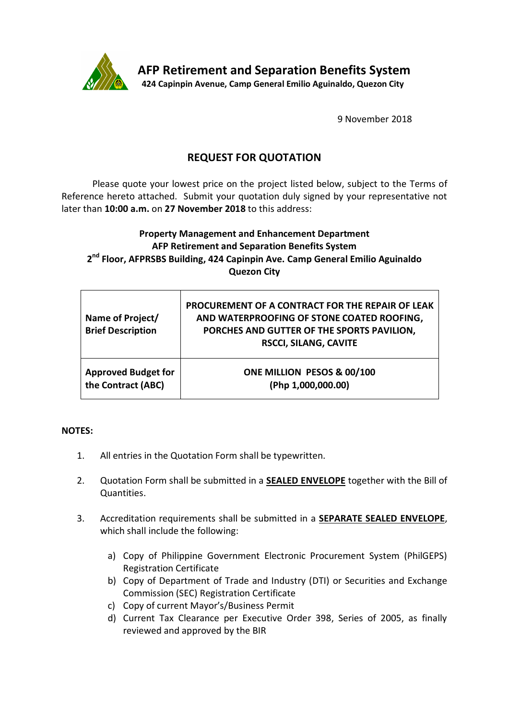

9 November 2018

# **REQUEST FOR QUOTATION**

Please quote your lowest price on the project listed below, subject to the Terms of Reference hereto attached. Submit your quotation duly signed by your representative not later than **10:00 a.m.** on **27 November 2018** to this address:

## **Property Management and Enhancement Department AFP Retirement and Separation Benefits System 2 nd Floor, AFPRSBS Building, 424 Capinpin Ave. Camp General Emilio Aguinaldo Quezon City**

| Name of Project/<br><b>Brief Description</b> | PROCUREMENT OF A CONTRACT FOR THE REPAIR OF LEAK<br>AND WATERPROOFING OF STONE COATED ROOFING,<br>PORCHES AND GUTTER OF THE SPORTS PAVILION,<br><b>RSCCI, SILANG, CAVITE</b> |
|----------------------------------------------|------------------------------------------------------------------------------------------------------------------------------------------------------------------------------|
| <b>Approved Budget for</b>                   | ONE MILLION PESOS & 00/100                                                                                                                                                   |
| the Contract (ABC)                           | (Php 1,000,000.00)                                                                                                                                                           |

## **NOTES:**

- 1. All entries in the Quotation Form shall be typewritten.
- 2. Quotation Form shall be submitted in a **SEALED ENVELOPE** together with the Bill of Quantities.
- 3. Accreditation requirements shall be submitted in a **SEPARATE SEALED ENVELOPE**, which shall include the following:
	- a) Copy of Philippine Government Electronic Procurement System (PhilGEPS) Registration Certificate
	- b) Copy of Department of Trade and Industry (DTI) or Securities and Exchange Commission (SEC) Registration Certificate
	- c) Copy of current Mayor's/Business Permit
	- d) Current Tax Clearance per Executive Order 398, Series of 2005, as finally reviewed and approved by the BIR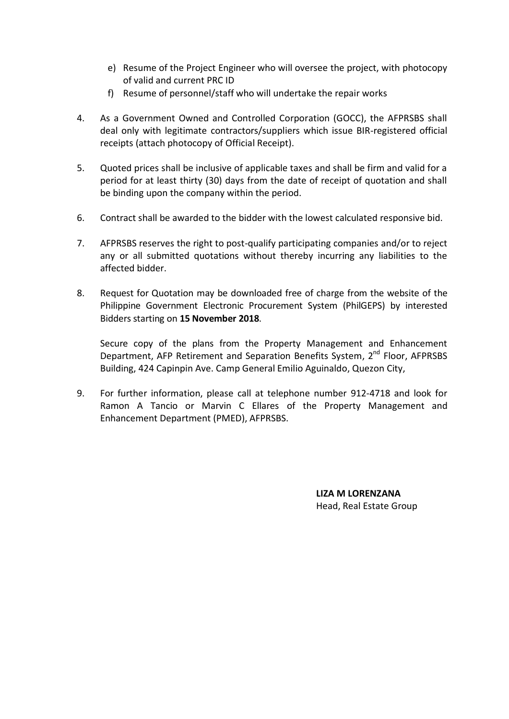- e) Resume of the Project Engineer who will oversee the project, with photocopy of valid and current PRC ID
- f) Resume of personnel/staff who will undertake the repair works
- 4. As a Government Owned and Controlled Corporation (GOCC), the AFPRSBS shall deal only with legitimate contractors/suppliers which issue BIR-registered official receipts (attach photocopy of Official Receipt).
- 5. Quoted prices shall be inclusive of applicable taxes and shall be firm and valid for a period for at least thirty (30) days from the date of receipt of quotation and shall be binding upon the company within the period.
- 6. Contract shall be awarded to the bidder with the lowest calculated responsive bid.
- 7. AFPRSBS reserves the right to post-qualify participating companies and/or to reject any or all submitted quotations without thereby incurring any liabilities to the affected bidder.
- 8. Request for Quotation may be downloaded free of charge from the website of the Philippine Government Electronic Procurement System (PhilGEPS) by interested Bidders starting on **15 November 2018**.

Secure copy of the plans from the Property Management and Enhancement Department, AFP Retirement and Separation Benefits System, 2<sup>nd</sup> Floor, AFPRSBS Building, 424 Capinpin Ave. Camp General Emilio Aguinaldo, Quezon City,

9. For further information, please call at telephone number 912-4718 and look for Ramon A Tancio or Marvin C Ellares of the Property Management and Enhancement Department (PMED), AFPRSBS.

> **LIZA M LORENZANA** Head, Real Estate Group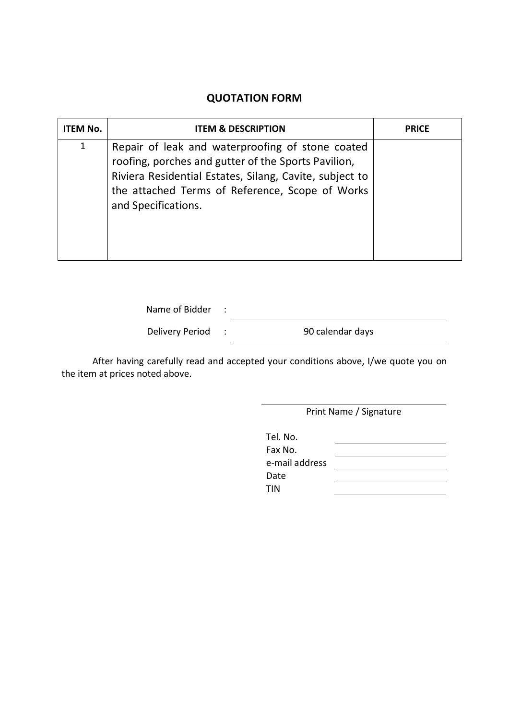# **QUOTATION FORM**

| ITEM No.     | <b>ITEM &amp; DESCRIPTION</b>                                                                                                                                                                                                                | <b>PRICE</b> |
|--------------|----------------------------------------------------------------------------------------------------------------------------------------------------------------------------------------------------------------------------------------------|--------------|
| $\mathbf{1}$ | Repair of leak and waterproofing of stone coated<br>roofing, porches and gutter of the Sports Pavilion,<br>Riviera Residential Estates, Silang, Cavite, subject to<br>the attached Terms of Reference, Scope of Works<br>and Specifications. |              |

Name of Bidder :

Delivery Period : 90 calendar days

After having carefully read and accepted your conditions above, I/we quote you on the item at prices noted above.

Print Name / Signature

| Tel. No.       |  |
|----------------|--|
| Fax No.        |  |
| e-mail address |  |
| Date           |  |
| TIN            |  |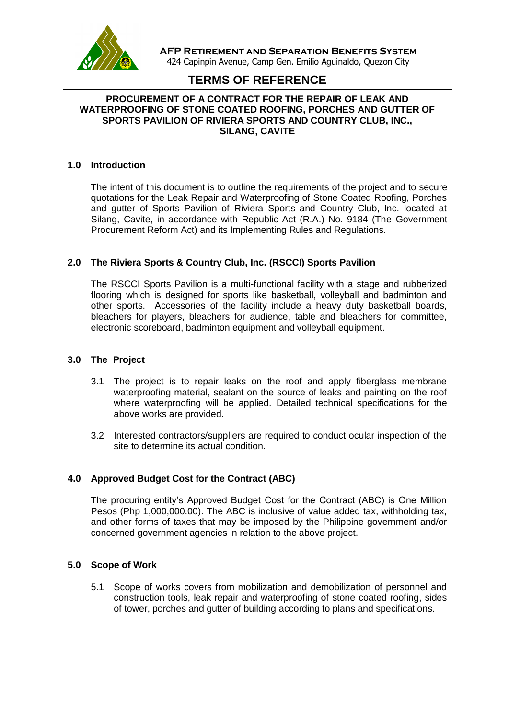

**AFP Retirement and Separation Benefits System** 424 Capinpin Avenue, Camp Gen. Emilio Aguinaldo, Quezon City

## **TERMS OF REFERENCE**

## **PROCUREMENT OF A CONTRACT FOR THE REPAIR OF LEAK AND WATERPROOFING OF STONE COATED ROOFING, PORCHES AND GUTTER OF SPORTS PAVILION OF RIVIERA SPORTS AND COUNTRY CLUB, INC., SILANG, CAVITE**

#### **1.0 Introduction**

The intent of this document is to outline the requirements of the project and to secure quotations for the Leak Repair and Waterproofing of Stone Coated Roofing, Porches and gutter of Sports Pavilion of Riviera Sports and Country Club, Inc. located at Silang, Cavite, in accordance with Republic Act (R.A.) No. 9184 (The Government Procurement Reform Act) and its Implementing Rules and Regulations.

## **2.0 The Riviera Sports & Country Club, Inc. (RSCCI) Sports Pavilion**

The RSCCI Sports Pavilion is a multi-functional facility with a stage and rubberized flooring which is designed for sports like basketball, volleyball and badminton and other sports. Accessories of the facility include a heavy duty basketball boards, bleachers for players, bleachers for audience, table and bleachers for committee, electronic scoreboard, badminton equipment and volleyball equipment.

#### **3.0 The Project**

- 3.1 The project is to repair leaks on the roof and apply fiberglass membrane waterproofing material, sealant on the source of leaks and painting on the roof where waterproofing will be applied. Detailed technical specifications for the above works are provided.
- 3.2 Interested contractors/suppliers are required to conduct ocular inspection of the site to determine its actual condition.

## **4.0 Approved Budget Cost for the Contract (ABC)**

The procuring entity's Approved Budget Cost for the Contract (ABC) is One Million Pesos (Php 1,000,000.00). The ABC is inclusive of value added tax, withholding tax, and other forms of taxes that may be imposed by the Philippine government and/or concerned government agencies in relation to the above project.

#### **5.0 Scope of Work**

5.1 Scope of works covers from mobilization and demobilization of personnel and construction tools, leak repair and waterproofing of stone coated roofing, sides of tower, porches and gutter of building according to plans and specifications.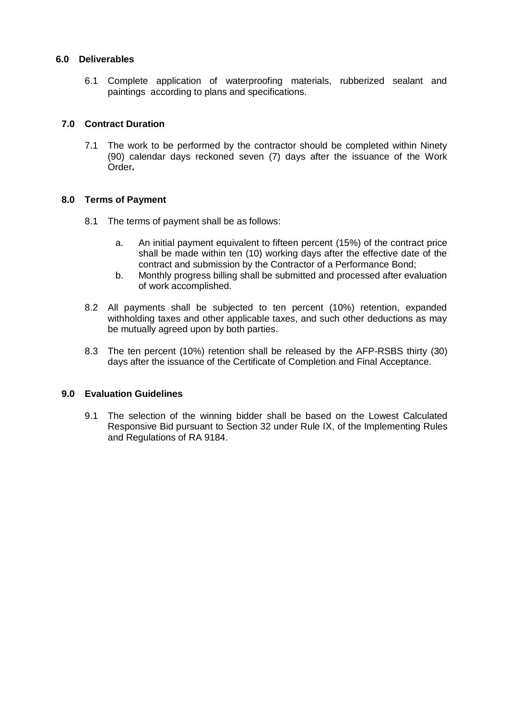## **6.0 Deliverables**

6.1 Complete application of waterproofing materials, rubberized sealant and paintings according to plans and specifications.

## **7.0 Contract Duration**

7.1 The work to be performed by the contractor should be completed within Ninety (90) calendar days reckoned seven (7) days after the issuance of the Work Order**.**

## **8.0 Terms of Payment**

- 8.1 The terms of payment shall be as follows:
	- a. An initial payment equivalent to fifteen percent (15%) of the contract price shall be made within ten (10) working days after the effective date of the contract and submission by the Contractor of a Performance Bond;
	- b. Monthly progress billing shall be submitted and processed after evaluation of work accomplished.
- 8.2 All payments shall be subjected to ten percent (10%) retention, expanded withholding taxes and other applicable taxes, and such other deductions as may be mutually agreed upon by both parties.
- 8.3 The ten percent (10%) retention shall be released by the AFP-RSBS thirty (30) days after the issuance of the Certificate of Completion and Final Acceptance.

#### **9.0 Evaluation Guidelines**

9.1 The selection of the winning bidder shall be based on the Lowest Calculated Responsive Bid pursuant to Section 32 under Rule IX, of the Implementing Rules and Regulations of RA 9184.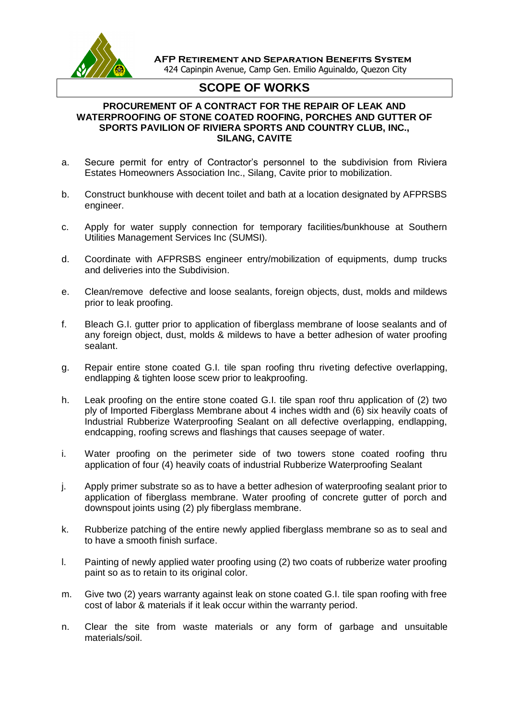

 **AFP Retirement and Separation Benefits System** 424 Capinpin Avenue, Camp Gen. Emilio Aguinaldo, Quezon City

# **SCOPE OF WORKS**

## **PROCUREMENT OF A CONTRACT FOR THE REPAIR OF LEAK AND WATERPROOFING OF STONE COATED ROOFING, PORCHES AND GUTTER OF SPORTS PAVILION OF RIVIERA SPORTS AND COUNTRY CLUB, INC., SILANG, CAVITE**

- a. Secure permit for entry of Contractor's personnel to the subdivision from Riviera Estates Homeowners Association Inc., Silang, Cavite prior to mobilization.
- b. Construct bunkhouse with decent toilet and bath at a location designated by AFPRSBS engineer.
- c. Apply for water supply connection for temporary facilities/bunkhouse at Southern Utilities Management Services Inc (SUMSI).
- d. Coordinate with AFPRSBS engineer entry/mobilization of equipments, dump trucks and deliveries into the Subdivision.
- e. Clean/remove defective and loose sealants, foreign objects, dust, molds and mildews prior to leak proofing.
- f. Bleach G.I. gutter prior to application of fiberglass membrane of loose sealants and of any foreign object, dust, molds & mildews to have a better adhesion of water proofing sealant.
- g. Repair entire stone coated G.I. tile span roofing thru riveting defective overlapping, endlapping & tighten loose scew prior to leakproofing.
- h. Leak proofing on the entire stone coated G.I. tile span roof thru application of (2) two ply of Imported Fiberglass Membrane about 4 inches width and (6) six heavily coats of Industrial Rubberize Waterproofing Sealant on all defective overlapping, endlapping, endcapping, roofing screws and flashings that causes seepage of water.
- i. Water proofing on the perimeter side of two towers stone coated roofing thru application of four (4) heavily coats of industrial Rubberize Waterproofing Sealant
- j. Apply primer substrate so as to have a better adhesion of waterproofing sealant prior to application of fiberglass membrane. Water proofing of concrete gutter of porch and downspout joints using (2) ply fiberglass membrane.
- k. Rubberize patching of the entire newly applied fiberglass membrane so as to seal and to have a smooth finish surface.
- l. Painting of newly applied water proofing using (2) two coats of rubberize water proofing paint so as to retain to its original color.
- m. Give two (2) years warranty against leak on stone coated G.I. tile span roofing with free cost of labor & materials if it leak occur within the warranty period.
- n. Clear the site from waste materials or any form of garbage and unsuitable materials/soil.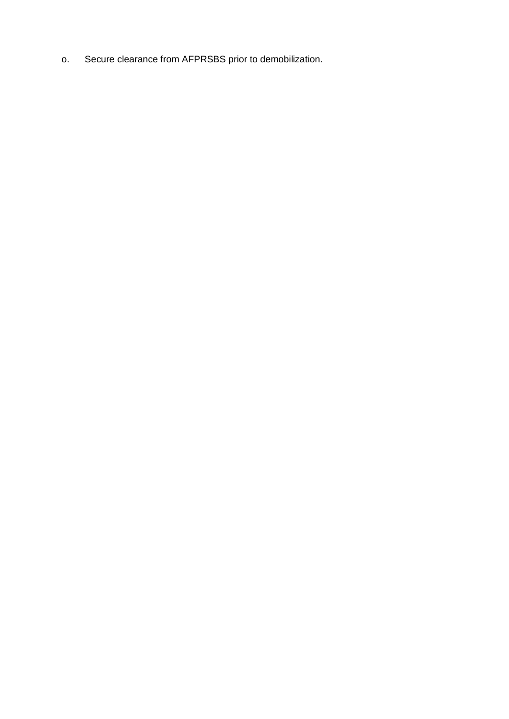o. Secure clearance from AFPRSBS prior to demobilization.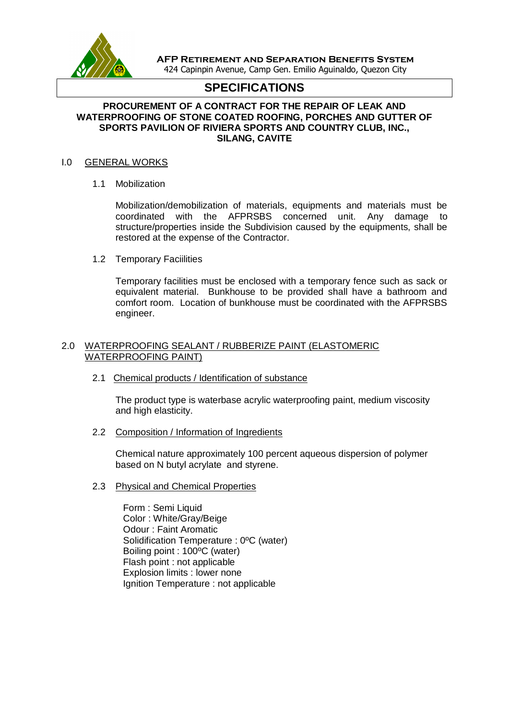

**AFP Retirement and Separation Benefits System** 424 Capinpin Avenue, Camp Gen. Emilio Aguinaldo, Quezon City

## **SPECIFICATIONS**

## **PROCUREMENT OF A CONTRACT FOR THE REPAIR OF LEAK AND WATERPROOFING OF STONE COATED ROOFING, PORCHES AND GUTTER OF SPORTS PAVILION OF RIVIERA SPORTS AND COUNTRY CLUB, INC., SILANG, CAVITE**

#### I.0 GENERAL WORKS

1.1 Mobilization

Mobilization/demobilization of materials, equipments and materials must be coordinated with the AFPRSBS concerned unit. Any damage to structure/properties inside the Subdivision caused by the equipments, shall be restored at the expense of the Contractor.

1.2 Temporary Faciilities

Temporary facilities must be enclosed with a temporary fence such as sack or equivalent material. Bunkhouse to be provided shall have a bathroom and comfort room. Location of bunkhouse must be coordinated with the AFPRSBS engineer.

## 2.0 WATERPROOFING SEALANT / RUBBERIZE PAINT (ELASTOMERIC WATERPROOFING PAINT)

2.1 Chemical products / Identification of substance

The product type is waterbase acrylic waterproofing paint, medium viscosity and high elasticity.

2.2 Composition / Information of Ingredients

Chemical nature approximately 100 percent aqueous dispersion of polymer based on N butyl acrylate and styrene.

2.3 Physical and Chemical Properties

Form : Semi Liquid Color : White/Gray/Beige Odour : Faint Aromatic Solidification Temperature : 0ºC (water) Boiling point : 100ºC (water) Flash point : not applicable Explosion limits : lower none Ignition Temperature : not applicable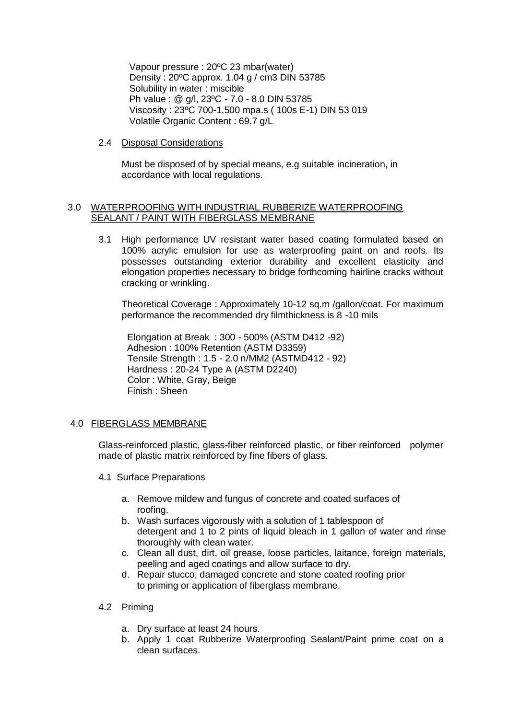Vapour pressure : 20ºC 23 mbar(water) Density : 20ºC approx. 1.04 g / cm3 DIN 53785 Solubility in water : miscible Ph value : @ g/l, 23ºC - 7.0 - 8.0 DIN 53785 Viscosity : 23ºC 700-1,500 mpa.s ( 100s E-1) DIN 53 019 Volatile Organic Content : 69.7 g/L

2.4 Disposal Considerations

Must be disposed of by special means, e.g suitable incineration, in accordance with local regulations.

## 3.0 WATERPROOFING WITH INDUSTRIAL RUBBERIZE WATERPROOFING SEALANT / PAINT WITH FIBERGLASS MEMBRANE

3.1 High performance UV resistant water based coating formulated based on 100% acrylic emulsion for use as waterproofing paint on and roofs. Its possesses outstanding exterior durability and excellent elasticity and elongation properties necessary to bridge forthcoming hairline cracks without cracking or wrinkling.

 Theoretical Coverage : Approximately 10-12 sq.m /gallon/coat. For maximum performance the recommended dry filmthickness is 8 -10 mils

 Elongation at Break : 300 - 500% (ASTM D412 -92) Adhesion : 100% Retention (ASTM D3359) Tensile Strength : 1.5 - 2.0 n/MM2 (ASTMD412 - 92) Hardness : 20-24 Type A (ASTM D2240) Color : White, Gray, Beige Finish : Sheen

## 4.0 FIBERGLASS MEMBRANE

Glass-reinforced plastic, glass-fiber reinforced plastic, or fiber reinforced polymer made of plastic matrix reinforced by fine fibers of glass.

- 4.1 Surface Preparations
	- a. Remove mildew and fungus of concrete and coated surfaces of roofing.
	- b. Wash surfaces vigorously with a solution of 1 tablespoon of detergent and 1 to 2 pints of liquid bleach in 1 gallon of water and rinse thoroughly with clean water.
	- c. Clean all dust, dirt, oil grease, loose particles, laitance, foreign materials, peeling and aged coatings and allow surface to dry.
	- d. Repair stucco, damaged concrete and stone coated roofing prior to priming or application of fiberglass membrane.
- 4.2 Priming
	- a. Dry surface at least 24 hours.
	- b. Apply 1 coat Rubberize Waterproofing Sealant/Paint prime coat on a clean surfaces.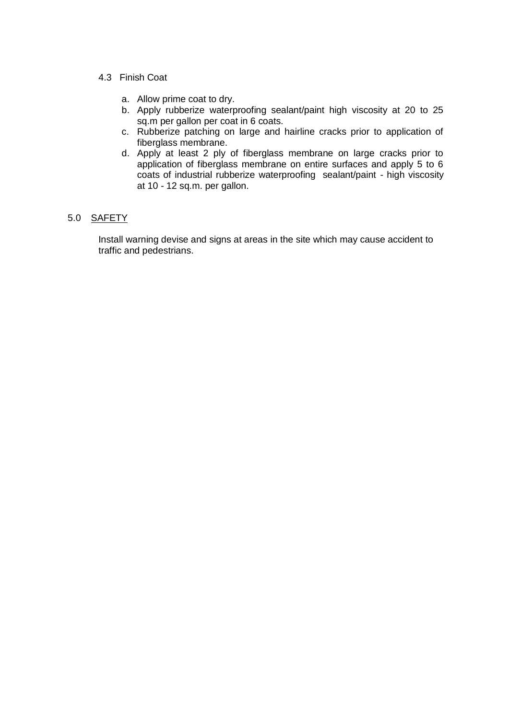## 4.3 Finish Coat

- a. Allow prime coat to dry.
- b. Apply rubberize waterproofing sealant/paint high viscosity at 20 to 25 sq.m per gallon per coat in 6 coats.
- c. Rubberize patching on large and hairline cracks prior to application of fiberglass membrane.
- d. Apply at least 2 ply of fiberglass membrane on large cracks prior to application of fiberglass membrane on entire surfaces and apply 5 to 6 coats of industrial rubberize waterproofing sealant/paint - high viscosity at 10 - 12 sq.m. per gallon.

## 5.0 SAFETY

Install warning devise and signs at areas in the site which may cause accident to traffic and pedestrians.